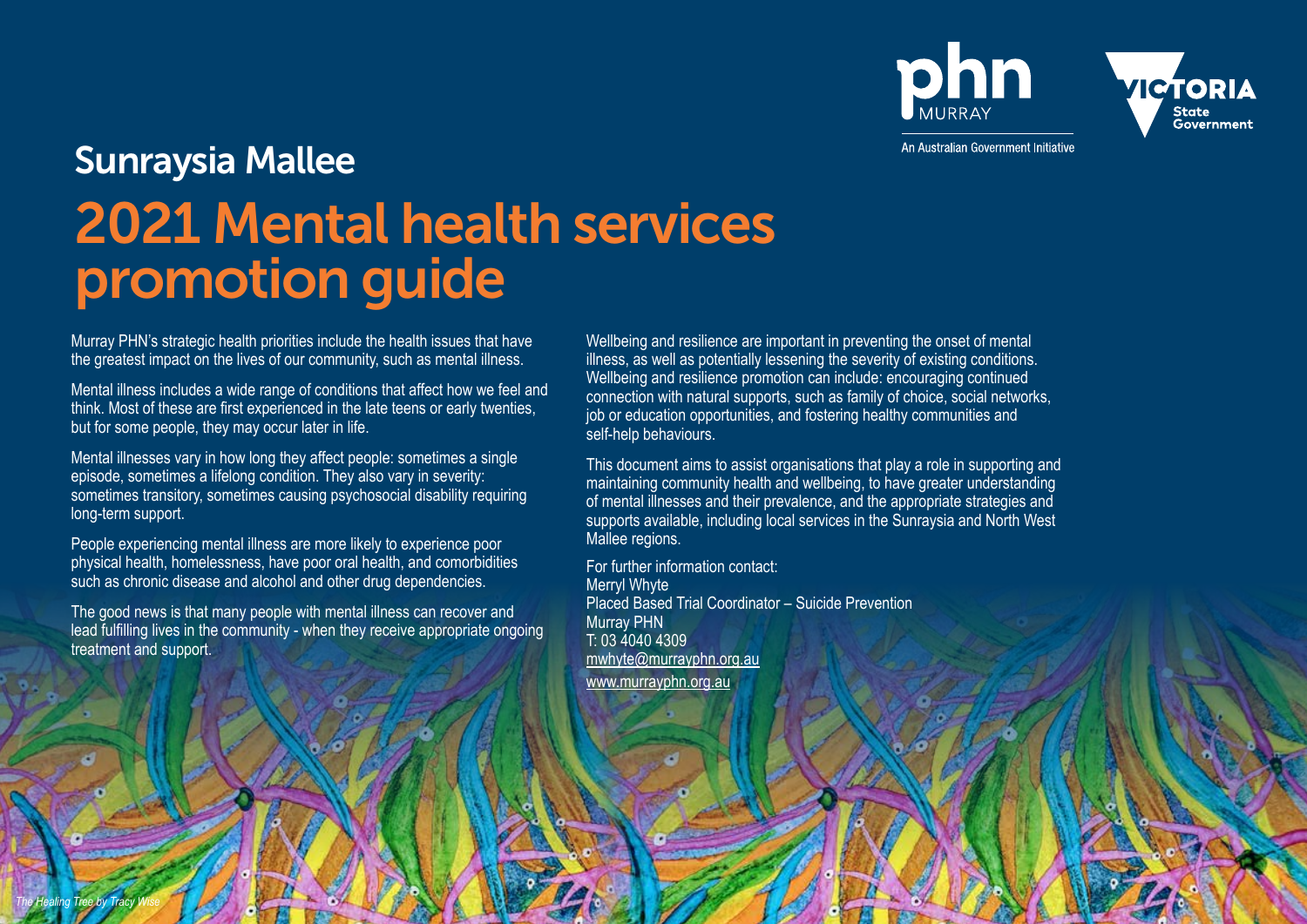phn



An Australian Government Initiative

# Sunraysia Mallee 2021 Mental health services promotion guide

Murray PHN's strategic health priorities include the health issues that have the greatest impact on the lives of our community, such as mental illness.

Mental illness includes a wide range of conditions that affect how we feel and think. Most of these are first experienced in the late teens or early twenties, but for some people, they may occur later in life.

Mental illnesses vary in how long they affect people: sometimes a single episode, sometimes a lifelong condition. They also vary in severity: sometimes transitory, sometimes causing psychosocial disability requiring long-term support.

People experiencing mental illness are more likely to experience poor physical health, homelessness, have poor oral health, and comorbidities such as chronic disease and alcohol and other drug dependencies.

The good news is that many people with mental illness can recover and lead fulfilling lives in the community - when they receive appropriate ongoing treatment and support.

Wellbeing and resilience are important in preventing the onset of mental illness, as well as potentially lessening the severity of existing conditions. Wellbeing and resilience promotion can include: encouraging continued connection with natural supports, such as family of choice, social networks, job or education opportunities, and fostering healthy communities and self-help behaviours.

This document aims to assist organisations that play a role in supporting and maintaining community health and wellbeing, to have greater understanding of mental illnesses and their prevalence, and the appropriate strategies and supports available, including local services in the Sunraysia and North West Mallee regions.

For further information contact: Merryl Whyte Placed Based Trial Coordinator – Suicide Prevention Murray PHN T: 03 4040 4309 [mwhyte@murrayphn.org.au](mailto:mwhyte%40murrayphn.org.au?subject=) [www.murrayphn.org.au](http://www.murrayphn.org.au)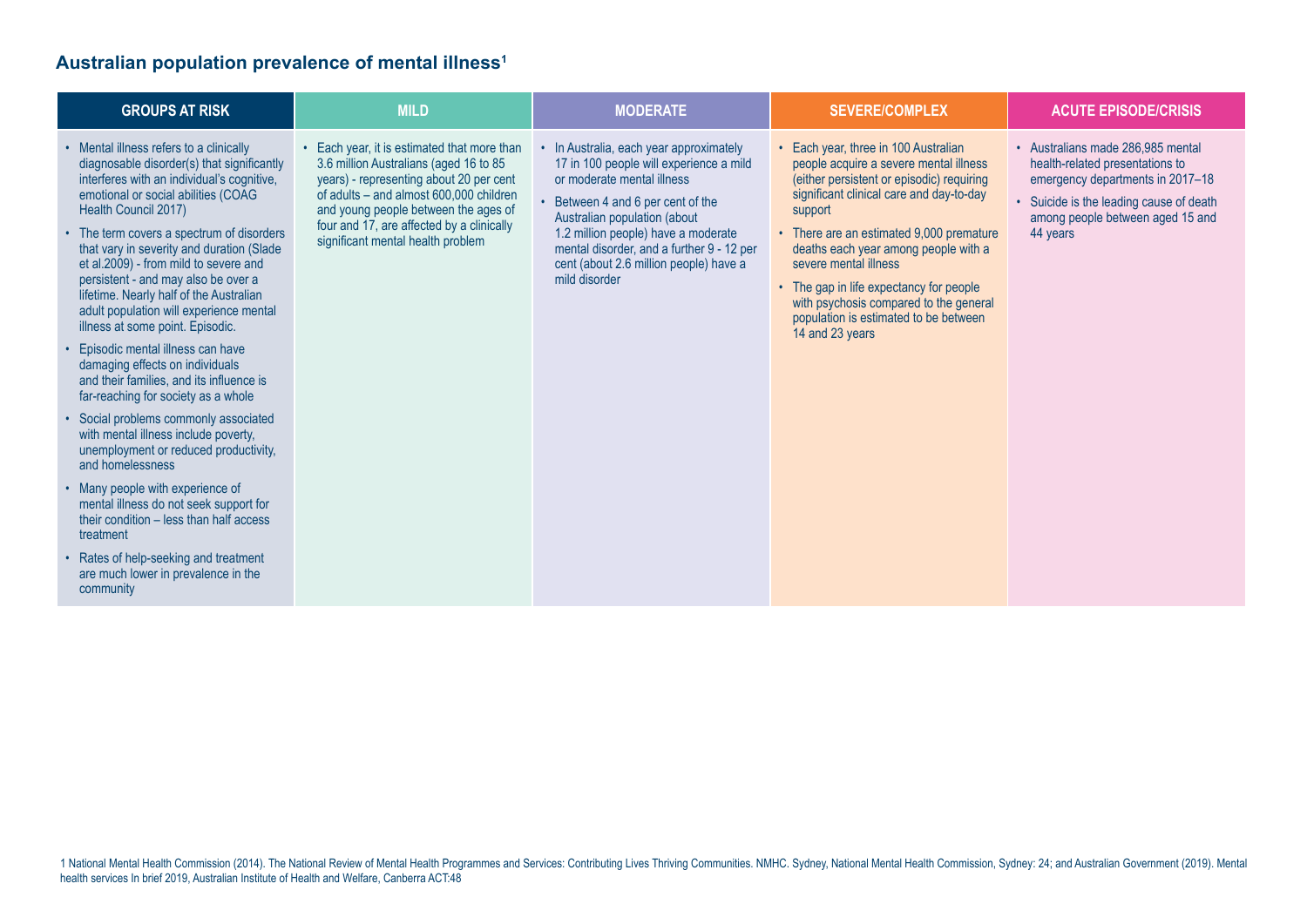## **Australian population prevalence of mental illness1**

| <b>GROUPS AT RISK</b>                                                                                                                                                                                                                                                                                                                                                                                                                                                                                                                                                                                                                                                                                                                                                                                                                                                                                                                                                                                                                               | <b>MILD</b>                                                                                                                                                                                                                                                                                           | <b>MODERATE</b>                                                                                                                                                                                                                                                                                                                      | <b>SEVERE/COMPLEX</b>                                                                                                                                                                                                                                                                                                                                                                                                                            | <b>ACUTE EPISODE/CRISIS</b>                                                                                                                                                                       |
|-----------------------------------------------------------------------------------------------------------------------------------------------------------------------------------------------------------------------------------------------------------------------------------------------------------------------------------------------------------------------------------------------------------------------------------------------------------------------------------------------------------------------------------------------------------------------------------------------------------------------------------------------------------------------------------------------------------------------------------------------------------------------------------------------------------------------------------------------------------------------------------------------------------------------------------------------------------------------------------------------------------------------------------------------------|-------------------------------------------------------------------------------------------------------------------------------------------------------------------------------------------------------------------------------------------------------------------------------------------------------|--------------------------------------------------------------------------------------------------------------------------------------------------------------------------------------------------------------------------------------------------------------------------------------------------------------------------------------|--------------------------------------------------------------------------------------------------------------------------------------------------------------------------------------------------------------------------------------------------------------------------------------------------------------------------------------------------------------------------------------------------------------------------------------------------|---------------------------------------------------------------------------------------------------------------------------------------------------------------------------------------------------|
| • Mental illness refers to a clinically<br>diagnosable disorder(s) that significantly<br>interferes with an individual's cognitive,<br>emotional or social abilities (COAG<br>Health Council 2017)<br>• The term covers a spectrum of disorders<br>that vary in severity and duration (Slade<br>et al.2009) - from mild to severe and<br>persistent - and may also be over a<br>lifetime. Nearly half of the Australian<br>adult population will experience mental<br>illness at some point. Episodic.<br>• Episodic mental illness can have<br>damaging effects on individuals<br>and their families, and its influence is<br>far-reaching for society as a whole<br>• Social problems commonly associated<br>with mental illness include poverty,<br>unemployment or reduced productivity,<br>and homelessness<br>• Many people with experience of<br>mental illness do not seek support for<br>their condition - less than half access<br>treatment<br>• Rates of help-seeking and treatment<br>are much lower in prevalence in the<br>community | • Each year, it is estimated that more than<br>3.6 million Australians (aged 16 to 85<br>years) - representing about 20 per cent<br>of adults - and almost 600,000 children<br>and young people between the ages of<br>four and 17, are affected by a clinically<br>significant mental health problem | • In Australia, each year approximately<br>17 in 100 people will experience a mild<br>or moderate mental illness<br>• Between 4 and 6 per cent of the<br>Australian population (about<br>1.2 million people) have a moderate<br>mental disorder, and a further 9 - 12 per<br>cent (about 2.6 million people) have a<br>mild disorder | • Each year, three in 100 Australian<br>people acquire a severe mental illness<br>(either persistent or episodic) requiring<br>significant clinical care and day-to-day<br>support<br>• There are an estimated 9,000 premature<br>deaths each year among people with a<br>severe mental illness<br>• The gap in life expectancy for people<br>with psychosis compared to the general<br>population is estimated to be between<br>14 and 23 years | • Australians made 286.985 mental<br>health-related presentations to<br>emergency departments in 2017-18<br>Suicide is the leading cause of death<br>among people between aged 15 and<br>44 years |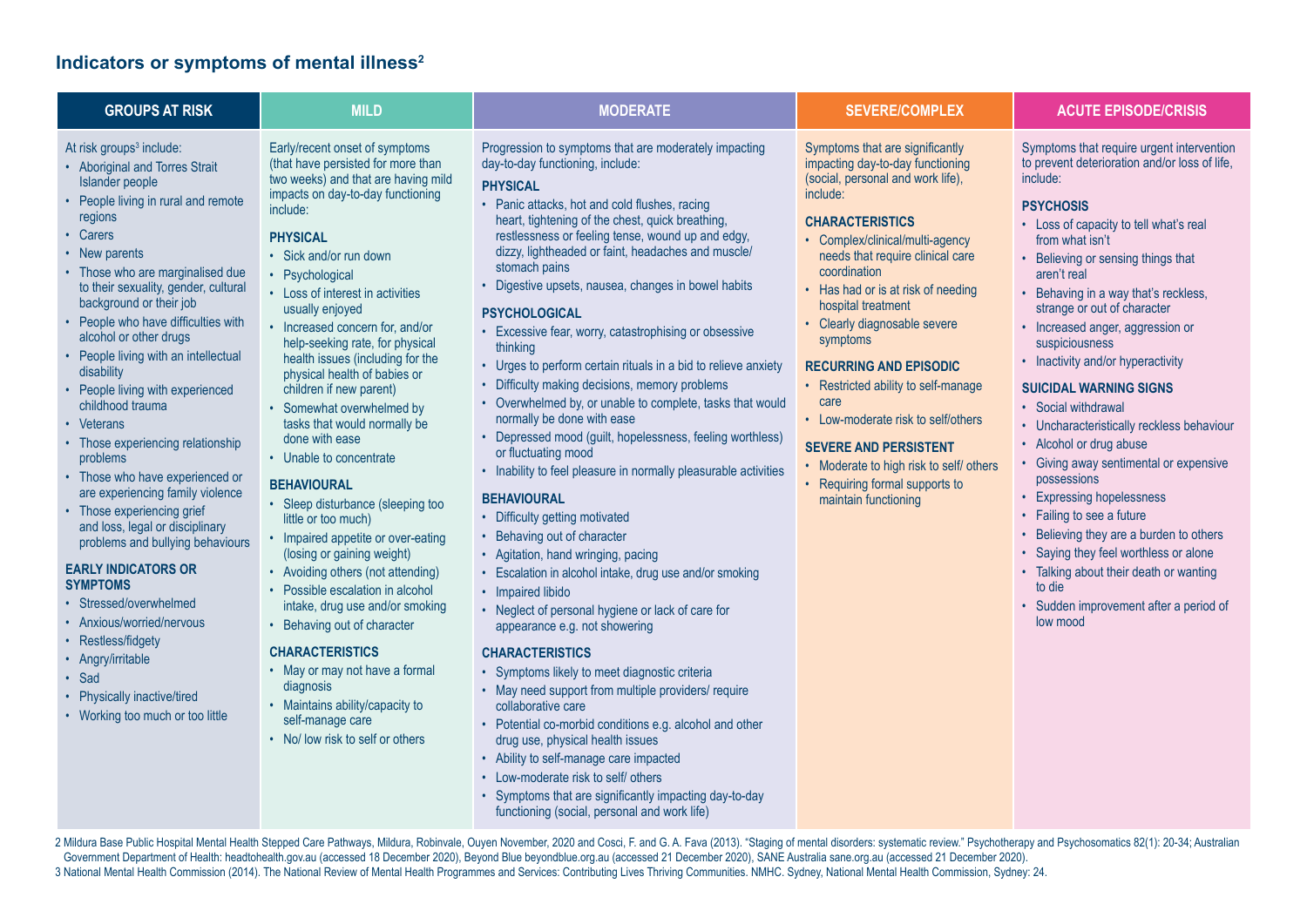## **Indicators or symptoms of mental illness2**

| <b>GROUPS AT RISK</b>                                                                                                                                                                                                                                                                                                                                                                                                                                                                                                                                                                                                                                                                                                                                                                                                                                                                                                      | <b>MILD</b>                                                                                                                                                                                                                                                                                                                                                                                                                                                                                                                                                                                                                                                                                                                                                                                                                                                                                                                                                                                                                             | <b>MODERATE</b>                                                                                                                                                                                                                                                                                                                                                                                                                                                                                                                                                                                                                                                                                                                                                                                                                                                                                                                                                                                                                                                                                                                                                                                                                                                                                                                                                                                                                                                                                                                                                                                                              | <b>SEVERE/COMPLEX</b>                                                                                                                                                                                                                                                                                                                                                                                                                                                                                                                                                                                    | <b>ACUTE EPISODE/CRISIS</b>                                                                                                                                                                                                                                                                                                                                                                                                                                                                                                                                                                                                                                                                                                                                                                                                                                     |
|----------------------------------------------------------------------------------------------------------------------------------------------------------------------------------------------------------------------------------------------------------------------------------------------------------------------------------------------------------------------------------------------------------------------------------------------------------------------------------------------------------------------------------------------------------------------------------------------------------------------------------------------------------------------------------------------------------------------------------------------------------------------------------------------------------------------------------------------------------------------------------------------------------------------------|-----------------------------------------------------------------------------------------------------------------------------------------------------------------------------------------------------------------------------------------------------------------------------------------------------------------------------------------------------------------------------------------------------------------------------------------------------------------------------------------------------------------------------------------------------------------------------------------------------------------------------------------------------------------------------------------------------------------------------------------------------------------------------------------------------------------------------------------------------------------------------------------------------------------------------------------------------------------------------------------------------------------------------------------|------------------------------------------------------------------------------------------------------------------------------------------------------------------------------------------------------------------------------------------------------------------------------------------------------------------------------------------------------------------------------------------------------------------------------------------------------------------------------------------------------------------------------------------------------------------------------------------------------------------------------------------------------------------------------------------------------------------------------------------------------------------------------------------------------------------------------------------------------------------------------------------------------------------------------------------------------------------------------------------------------------------------------------------------------------------------------------------------------------------------------------------------------------------------------------------------------------------------------------------------------------------------------------------------------------------------------------------------------------------------------------------------------------------------------------------------------------------------------------------------------------------------------------------------------------------------------------------------------------------------------|----------------------------------------------------------------------------------------------------------------------------------------------------------------------------------------------------------------------------------------------------------------------------------------------------------------------------------------------------------------------------------------------------------------------------------------------------------------------------------------------------------------------------------------------------------------------------------------------------------|-----------------------------------------------------------------------------------------------------------------------------------------------------------------------------------------------------------------------------------------------------------------------------------------------------------------------------------------------------------------------------------------------------------------------------------------------------------------------------------------------------------------------------------------------------------------------------------------------------------------------------------------------------------------------------------------------------------------------------------------------------------------------------------------------------------------------------------------------------------------|
| At risk groups <sup>3</sup> include:<br>• Aboriginal and Torres Strait<br>Islander people<br>People living in rural and remote<br>regions<br>• Carers<br>• New parents<br>• Those who are marginalised due<br>to their sexuality, gender, cultural<br>background or their job<br>• People who have difficulties with<br>alcohol or other drugs<br>• People living with an intellectual<br>disability<br>People living with experienced<br>childhood trauma<br>• Veterans<br>• Those experiencing relationship<br>problems<br>• Those who have experienced or<br>are experiencing family violence<br>• Those experiencing grief<br>and loss, legal or disciplinary<br>problems and bullying behaviours<br><b>EARLY INDICATORS OR</b><br><b>SYMPTOMS</b><br>• Stressed/overwhelmed<br>Anxious/worried/nervous<br>Restless/fidgety<br>• Angry/irritable<br>Sad<br>Physically inactive/tired<br>Working too much or too little | Early/recent onset of symptoms<br>(that have persisted for more than<br>two weeks) and that are having mild<br>impacts on day-to-day functioning<br>include:<br><b>PHYSICAL</b><br>• Sick and/or run down<br>• Psychological<br>• Loss of interest in activities<br>usually enjoyed<br>• Increased concern for, and/or<br>help-seeking rate, for physical<br>health issues (including for the<br>physical health of babies or<br>children if new parent)<br>• Somewhat overwhelmed by<br>tasks that would normally be<br>done with ease<br>• Unable to concentrate<br><b>BEHAVIOURAL</b><br>• Sleep disturbance (sleeping too<br>little or too much)<br>• Impaired appetite or over-eating<br>(losing or gaining weight)<br>• Avoiding others (not attending)<br>• Possible escalation in alcohol<br>intake, drug use and/or smoking<br>• Behaving out of character<br><b>CHARACTERISTICS</b><br>• May or may not have a formal<br>diagnosis<br>• Maintains ability/capacity to<br>self-manage care<br>• No/ low risk to self or others | Progression to symptoms that are moderately impacting<br>day-to-day functioning, include:<br><b>PHYSICAL</b><br>• Panic attacks, hot and cold flushes, racing<br>heart, tightening of the chest, quick breathing,<br>restlessness or feeling tense, wound up and edgy,<br>dizzy, lightheaded or faint, headaches and muscle/<br>stomach pains<br>• Digestive upsets, nausea, changes in bowel habits<br><b>PSYCHOLOGICAL</b><br>• Excessive fear, worry, catastrophising or obsessive<br>thinking<br>• Urges to perform certain rituals in a bid to relieve anxiety<br>• Difficulty making decisions, memory problems<br>• Overwhelmed by, or unable to complete, tasks that would<br>normally be done with ease<br>• Depressed mood (guilt, hopelessness, feeling worthless)<br>or fluctuating mood<br>• Inability to feel pleasure in normally pleasurable activities<br><b>BEHAVIOURAL</b><br>• Difficulty getting motivated<br>• Behaving out of character<br>• Agitation, hand wringing, pacing<br>• Escalation in alcohol intake, drug use and/or smoking<br>• Impaired libido<br>• Neglect of personal hygiene or lack of care for<br>appearance e.g. not showering<br><b>CHARACTERISTICS</b><br>• Symptoms likely to meet diagnostic criteria<br>• May need support from multiple providers/ require<br>collaborative care<br>• Potential co-morbid conditions e.g. alcohol and other<br>drug use, physical health issues<br>• Ability to self-manage care impacted<br>• Low-moderate risk to self/ others<br>• Symptoms that are significantly impacting day-to-day<br>functioning (social, personal and work life) | Symptoms that are significantly<br>impacting day-to-day functioning<br>(social, personal and work life),<br>include:<br><b>CHARACTERISTICS</b><br>• Complex/clinical/multi-agency<br>needs that require clinical care<br>coordination<br>• Has had or is at risk of needing<br>hospital treatment<br>• Clearly diagnosable severe<br>symptoms<br><b>RECURRING AND EPISODIC</b><br>• Restricted ability to self-manage<br>care<br>• Low-moderate risk to self/others<br><b>SEVERE AND PERSISTENT</b><br>• Moderate to high risk to self/ others<br>• Requiring formal supports to<br>maintain functioning | Symptoms that require urgent intervention<br>to prevent deterioration and/or loss of life,<br>include:<br><b>PSYCHOSIS</b><br>• Loss of capacity to tell what's real<br>from what isn't<br>• Believing or sensing things that<br>aren't real<br>• Behaving in a way that's reckless,<br>strange or out of character<br>• Increased anger, aggression or<br>suspiciousness<br>• Inactivity and/or hyperactivity<br><b>SUICIDAL WARNING SIGNS</b><br>• Social withdrawal<br>• Uncharacteristically reckless behaviour<br>• Alcohol or drug abuse<br>• Giving away sentimental or expensive<br>possessions<br>• Expressing hopelessness<br>• Failing to see a future<br>• Believing they are a burden to others<br>• Saying they feel worthless or alone<br>• Talking about their death or wanting<br>to die<br>• Sudden improvement after a period of<br>low mood |

2 Mildura Base Public Hospital Mental Health Stepped Care Pathways, Mildura, Robinvale, Ouyen November, 2020 and Cosci, F. and G. A. Fava (2013). "Staging of mental disorders: systematic review." Psychotherapy and Psychoso Government Department of Health: headtohealth.gov.au (accessed 18 December 2020), Beyond Blue beyondblue.org.au (accessed 21 December 2020), SANE Australia sane.org.au (accessed 21 December 2020). 3 National Mental Health Commission (2014). The National Review of Mental Health Programmes and Services: Contributing Lives Thriving Communities. NMHC. Sydney, National Mental Health Commission, Sydney: 24.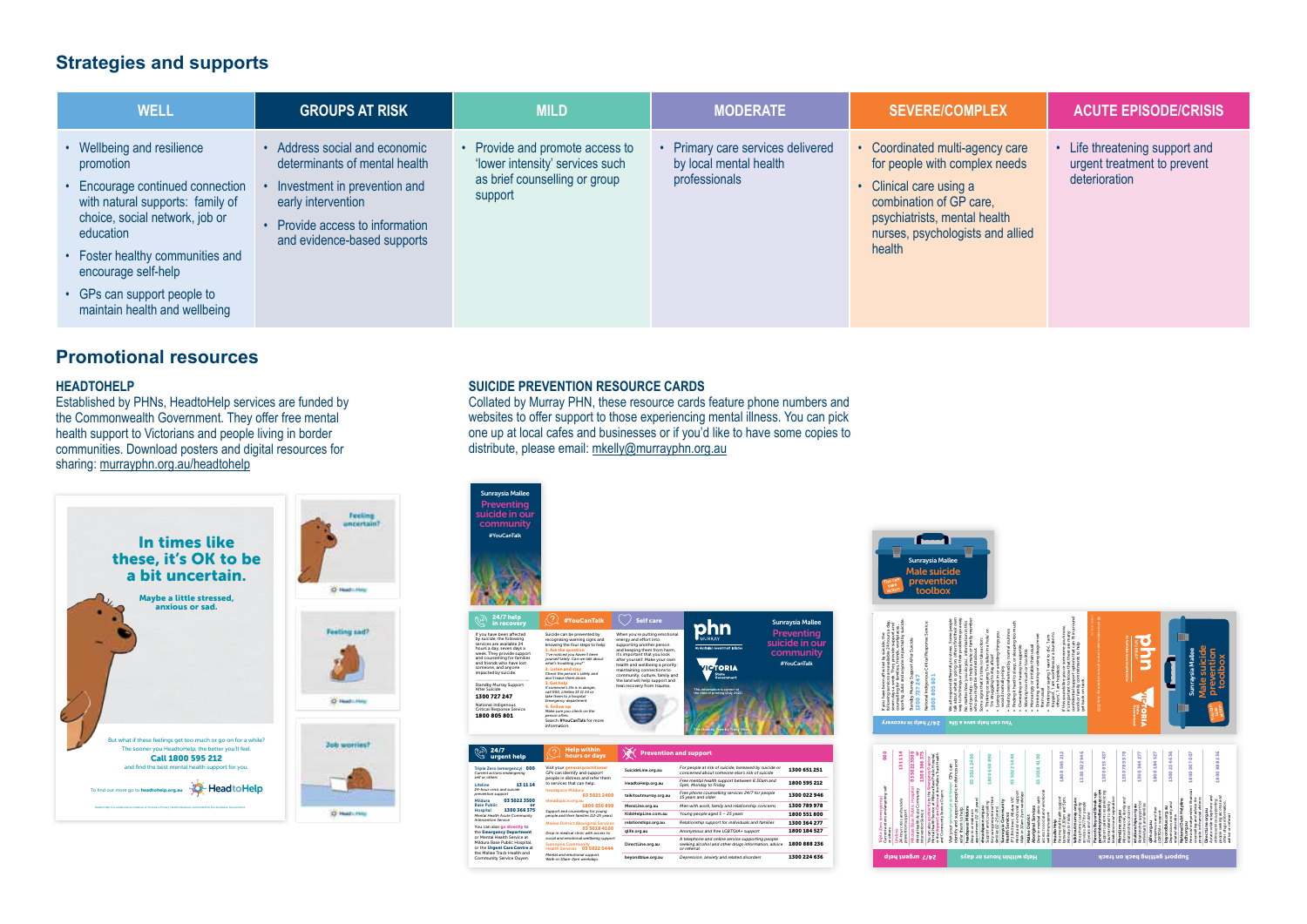## **Strategies and supports**

| <b>WELL</b>                                                                                                                                                                                                                                                                               | <b>GROUPS AT RISK</b>                                                                                                                                                              | <b>MILD</b>                                                                                                  | <b>MODERATE</b>                                                            | <b>SEVERE/COMPLEX</b>                                                                                                                                                                                | <b>ACUTE EPISODE/CRISIS</b>                                                    |
|-------------------------------------------------------------------------------------------------------------------------------------------------------------------------------------------------------------------------------------------------------------------------------------------|------------------------------------------------------------------------------------------------------------------------------------------------------------------------------------|--------------------------------------------------------------------------------------------------------------|----------------------------------------------------------------------------|------------------------------------------------------------------------------------------------------------------------------------------------------------------------------------------------------|--------------------------------------------------------------------------------|
| • Wellbeing and resilience<br>promotion<br>• Encourage continued connection<br>with natural supports: family of<br>choice, social network, job or<br>education<br>• Foster healthy communities and<br>encourage self-help<br>• GPs can support people to<br>maintain health and wellbeing | Address social and economic<br>determinants of mental health<br>Investment in prevention and<br>early intervention<br>Provide access to information<br>and evidence-based supports | Provide and promote access to<br>'lower intensity' services such<br>as brief counselling or group<br>support | Primary care services delivered<br>by local mental health<br>professionals | • Coordinated multi-agency care<br>for people with complex needs<br>• Clinical care using a<br>combination of GP care,<br>psychiatrists, mental health<br>nurses, psychologists and allied<br>health | • Life threatening support and<br>urgent treatment to prevent<br>deterioration |

## **Promotional resources**

#### **HEADTOHELP**

Established by PHNs, HeadtoHelp services are funded by the Commonwealth Government. They offer free mental health support to Victorians and people living in border communities. Download posters and digital resources for sharing: [murrayphn.org.au/headtohelp](https://www.murrayphn.org.au/headtohelp/)



#### **SUICIDE PREVENTION RESOURCE CARDS**

Collated by Murray PHN, these resource cards feature phone numbers and websites to offer support to those experiencing mental illness. You can pick one up at local cafes and businesses or if you'd like to have some copies to distribute, please email: [mkelly@murrayphn.org.au](mailto:mkelly%40murrayphn.org.au?subject=)





| self or others                                                                               |                                                                                                                                                                    |                                                     |                                                                                                                        |                                                 |              |  |
|----------------------------------------------------------------------------------------------|--------------------------------------------------------------------------------------------------------------------------------------------------------------------|-----------------------------------------------------|------------------------------------------------------------------------------------------------------------------------|-------------------------------------------------|--------------|--|
| 131114<br><b>Lifeline</b>                                                                    | people in distress and refer them<br>to services that can help.<br>headspace Mildura<br>03 5021 2400                                                               | HeadtoHelp.org.au                                   | Free mental health support between 8.30am and<br>5pm. Monday to Friday                                                 | 1800 595 212                                    |              |  |
| 24-hour crisis and suicide<br>prevention support                                             |                                                                                                                                                                    | talkitoutmurrav.org.au                              | Free phone counselling services 24/7 for people<br>15 years and older                                                  | 1300 022 946                                    |              |  |
| Mildura<br><b>Rase Public</b><br>Hospital                                                    | 03 5022 3500<br>or<br>1300 366 375                                                                                                                                 | cheadspace.org.au<br>1800 650 890                   | MensLine.org.au                                                                                                        | Men with work, family and relationship concerns | 1300 789 978 |  |
| Mental Health Acute Community                                                                | Support and counselling for young<br>people and their families (12-25 years)<br><b>Mallee District Aboriginal Services</b>                                         | KidsHelpLine.com.au                                 | Young people aged 5 - 25 years                                                                                         | 1800 551 800                                    |              |  |
| Intervention Service                                                                         |                                                                                                                                                                    | relationships.org.au                                | Relationship support for individuals and families                                                                      | 1300 364 277                                    |              |  |
| You can also go directly to<br>the Emergency Department                                      |                                                                                                                                                                    | 0350184100<br>Drop in medical clinic with access to | olife.org.au                                                                                                           | Anonymous and free LGBTQIA+ support             | 1800 184 527 |  |
| or Mental Health Service at<br>Mildura Base Public Hospital.<br>or the Urgent Care Centre at | social and emotional wellbeing support<br><b>Sunraysia Community</b><br>Health Services 03 5022 5444<br>Mental and emotional support.<br>Walk-in 10am-2pm weekdays | DirectLine.org.au                                   | A telephone and online service supporting people<br>seeking alcohol and other drugs information, advice<br>or referral | 1800 888 236                                    |              |  |
| the Mallee Track Health and<br>Community Service Ouven.                                      |                                                                                                                                                                    | bevondblue.org.au                                   | Depression, anxiety and related disorders                                                                              | 1300 224 636                                    |              |  |
|                                                                                              |                                                                                                                                                                    |                                                     |                                                                                                                        |                                                 |              |  |



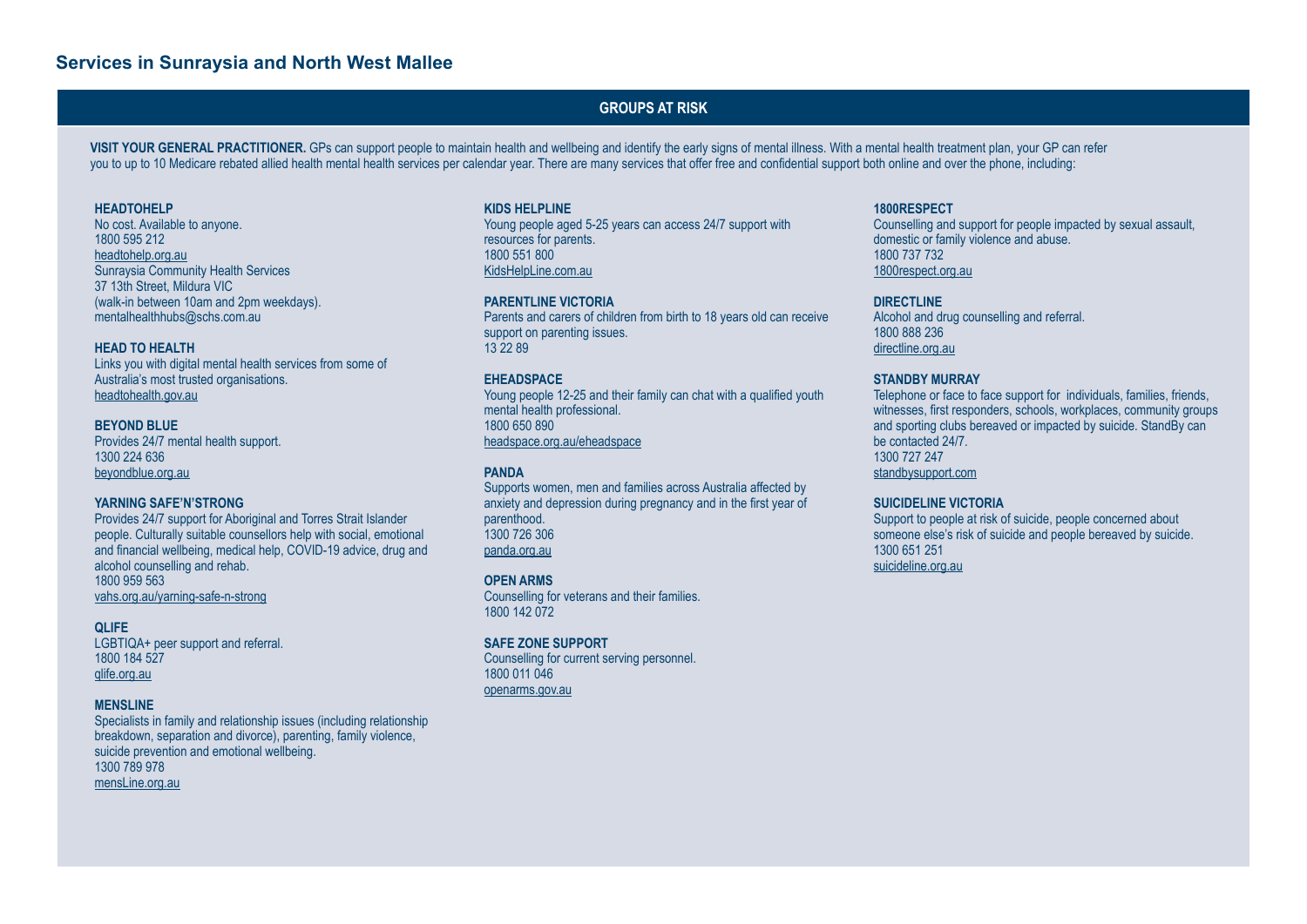#### **GROUPS AT RISK**

VISIT YOUR GENERAL PRACTITIONER. GPs can support people to maintain health and wellbeing and identify the early signs of mental illness. With a mental health treatment plan, your GP can refer you to up to 10 Medicare rebated allied health mental health services per calendar year. There are many services that offer free and confidential support both online and over the phone, including:

#### **HEADTOHELP**

No cost. Available to anyone. 1800 595 212 headtohelp.org.au Sunraysia Community Health Services 37 13th Street, Mildura VIC (walk-in between 10am and 2pm weekdays). mentalhealthhubs@schs.com.au

#### **HEAD TO HEALTH**

Links you with digital mental health services from some of Australia's most trusted organisations. [headtohealth.gov.au](http://headtohealth.gov.au)

**BEYOND BLUE** Provides 24/7 mental health support. 1300 224 636 [beyondblue.org.au](http://beyondblue.org.au)

#### **YARNING SAFE'N'STRONG**

Provides 24/7 support for Aboriginal and Torres Strait Islander people. Culturally suitable counsellors help with social, emotional and financial wellbeing, medical help, COVID-19 advice, drug and alcohol counselling and rehab. 1800 959 563 [vahs.org.au/yarning-safe-n-strong](http://vahs.org.au/yarning-safe-n-strong)

#### **QLIFE**

LGBTIQA+ peer support and referral. 1800 184 527 [qlife.org.au](http://qlife.org.au)

#### **MENSLINE**

Specialists in family and relationship issues (including relationship breakdown, separation and divorce), parenting, family violence, suicide prevention and emotional wellbeing. 1300 789 978 [mensLine.org.au](http://mensLine.org.au)

#### **KIDS HELPLINE**

Young people aged 5-25 years can access 24/7 support with resources for parents. 1800 551 800 [KidsHelpLine.com.au](http://KidsHelpLine.com.au)

#### **PARENTLINE VICTORIA**

Parents and carers of children from birth to 18 years old can receive support on parenting issues. 13 22 89

#### **EHEADSPACE**

Young people 12-25 and their family can chat with a qualified youth mental health professional. 1800 650 890 [headspace.org.au/eheadspace](http://headspace.org.au/eheadspace)

#### **PANDA**

Supports women, men and families across Australia affected by anxiety and depression during pregnancy and in the first year of parenthood. 1300 726 306 [panda.org.au](http://panda.org.au)

#### **OPEN ARMS**

Counselling for veterans and their families. 1800 142 072

#### **SAFE ZONE SUPPORT**

Counselling for current serving personnel. 1800 011 046 [openarms.gov.au](http://openarms.gov.au)

#### **1800RESPECT**

Counselling and support for people impacted by sexual assault, domestic or family violence and abuse. 1800 737 732 [1800respect.org.au](http://1800respect.org.au)

#### **DIRECTLINE**

Alcohol and drug counselling and referral. 1800 888 236 [directline.org.au](http://directline.org.au)

#### **STANDBY MURRAY**

Telephone or face to face support for individuals, families, friends, witnesses, first responders, schools, workplaces, community groups and sporting clubs bereaved or impacted by suicide. StandBy can be contacted 24/7. 1300 727 247 [standbysupport.com](http://standbysupport.com.au)

#### **SUICIDELINE VICTORIA**

Support to people at risk of suicide, people concerned about someone else's risk of suicide and people bereaved by suicide. 1300 651 251 [suicideline.org.au](http://suicideline.org.au)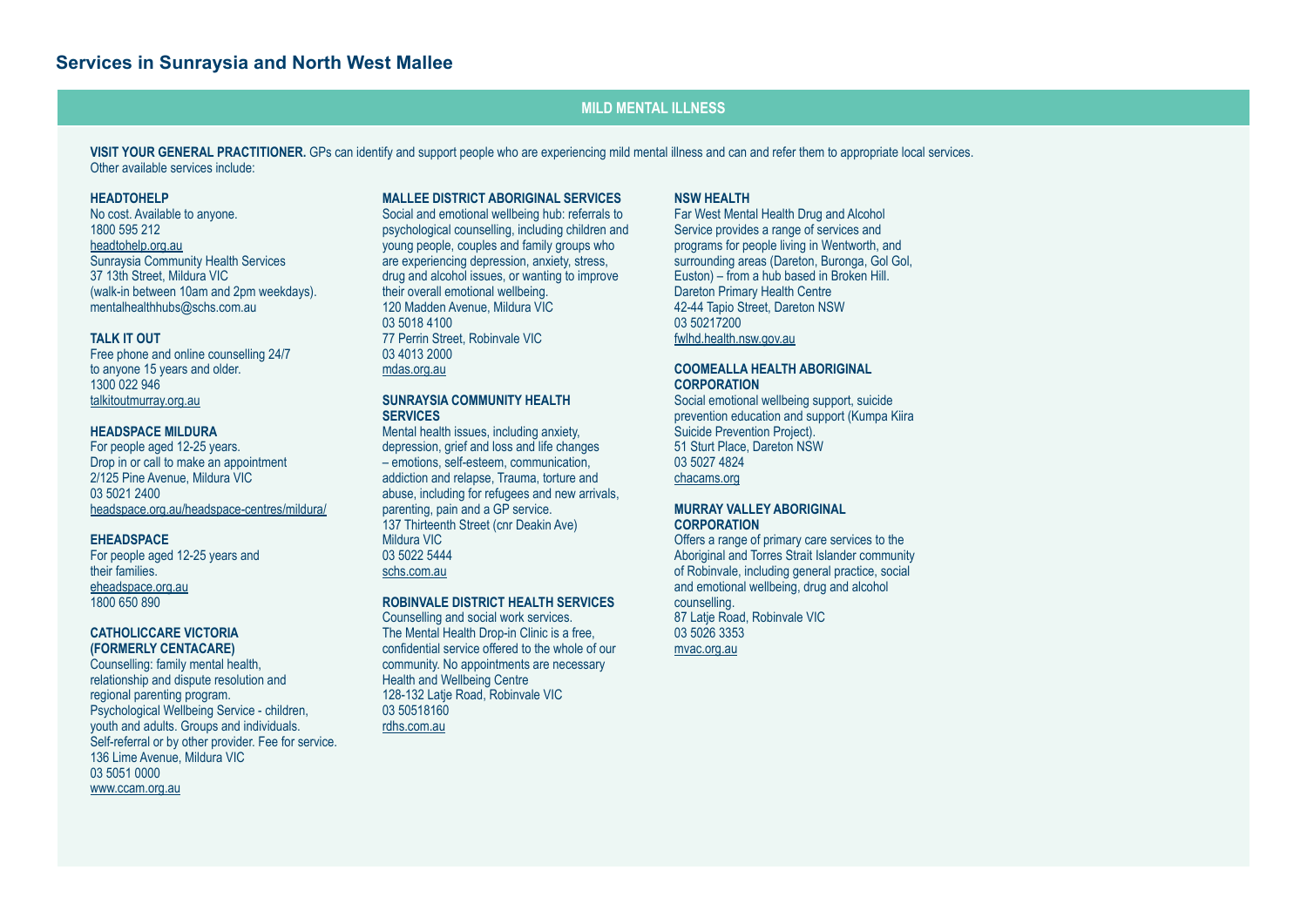#### **MILD MENTAL ILLNESS**

**VISIT YOUR GENERAL PRACTITIONER.** GPs can identify and support people who are experiencing mild mental illness and can and refer them to appropriate local services. Other available services include:

#### **HEADTOHELP**

No cost. Available to anyone. 1800 595 212 headtohelp.org.au Sunraysia Community Health Services 37 13th Street, Mildura VIC (walk-in between 10am and 2pm weekdays). mentalhealthhubs@schs.com.au

#### **TALK IT OUT**

Free phone and online counselling 24/7 to anyone 15 years and older. 1300 022 946 [talkitoutmurray.org.au](http://talkitoutmurray.org.au)

#### **HEADSPACE MILDURA**

For people aged 12-25 years. Drop in or call to make an appointment 2/125 Pine Avenue, Mildura VIC 03 5021 2400 [headspace.org.au/headspace-centres/mildura/](http://headspace.org.au/headspace-centres/mildura/)

#### **EHEADSPACE**

For people aged 12-25 years and their families. [eheadspace.org.au](http://eheadspace.org.au) 1800 650 890

#### **CATHOLICCARE VICTORIA (FORMERLY CENTACARE)**

Counselling: family mental health, relationship and dispute resolution and regional parenting program. Psychological Wellbeing Service - children, youth and adults. Groups and individuals. Self-referral or by other provider. Fee for service. 136 Lime Avenue, Mildura VIC 03 5051 0000 [www.ccam.org.au](http://www.ccam.org.au)

#### **MALLEE DISTRICT ABORIGINAL SERVICES**

Social and emotional wellbeing hub: referrals to psychological counselling, including children and young people, couples and family groups who are experiencing depression, anxiety, stress, drug and alcohol issues, or wanting to improve their overall emotional wellbeing. 120 Madden Avenue, Mildura VIC 03 5018 4100 77 Perrin Street, Robinvale VIC 03 4013 2000 mdas.org.au

#### **SUNRAYSIA COMMUNITY HEALTH SERVICES**

Mental health issues, including anxiety, depression, grief and loss and life changes – emotions, self-esteem, communication, addiction and relapse, Trauma, torture and abuse, including for refugees and new arrivals, parenting, pain and a GP service. 137 Thirteenth Street (cnr Deakin Ave) Mildura VIC 03 5022 5444 [schs.com.au](http://schs.com.au)

#### **ROBINVALE DISTRICT HEALTH SERVICES**

Counselling and social work services. The Mental Health Drop-in Clinic is a free, confidential service offered to the whole of our community. No appointments are necessary Health and Wellbeing Centre 128-132 Latje Road, Robinvale VIC 03 50518160 rdhs.com.au

#### **NSW HEALTH**

Far West Mental Health Drug and Alcohol Service provides a range of services and programs for people living in Wentworth, and surrounding areas (Dareton, Buronga, Gol Gol, Euston) – from a hub based in Broken Hill. Dareton Primary Health Centre 42-44 Tapio Street, Dareton NSW 03 50217200 fwlhd.health.nsw.gov.au

#### **COOMEALLA HEALTH ABORIGINAL CORPORATION**

Social emotional wellbeing support, suicide prevention education and support (Kumpa Kiira Suicide Prevention Project). 51 Sturt Place, Dareton NSW 03 5027 4824 [chacams.org](http://chacams.org)

#### **MURRAY VALLEY ABORIGINAL CORPORATION**

Offers a range of primary care services to the Aboriginal and Torres Strait Islander community of Robinvale, including general practice, social and emotional wellbeing, drug and alcohol counselling. 87 Latie Road, Robinvale VIC 03 5026 3353 [mvac.org.au](http://mvac.org.au)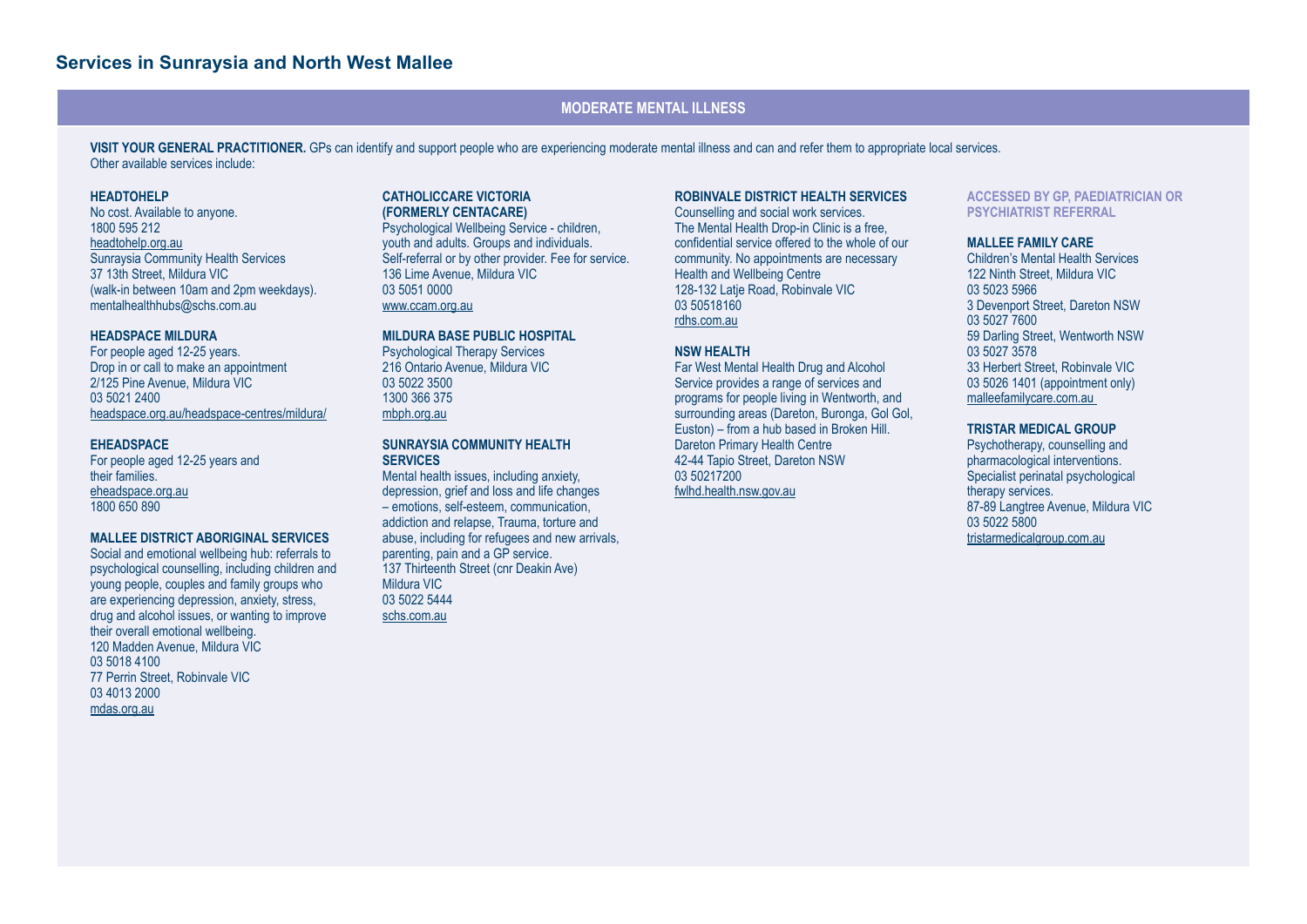### **MODERATE MENTAL ILLNESS**

**VISIT YOUR GENERAL PRACTITIONER.** GPs can identify and support people who are experiencing moderate mental illness and can and refer them to appropriate local services. Other available services include:

#### **HEADTOHELP**

No cost. Available to anyone. 1800 595 212 headtohelp.org.au Sunraysia Community Health Services 37 13th Street, Mildura VIC (walk-in between 10am and 2pm weekdays). mentalhealthhubs@schs.com.au

#### **HEADSPACE MILDURA**

For people aged 12-25 years. Drop in or call to make an appointment 2/125 Pine Avenue, Mildura VIC 03 5021 2400 [headspace.org.au/headspace-centres/mildura/](http://headspace.org.au/headspace-centres/mildura/)

#### **EHEADSPACE**

For people aged 12-25 years and their families. eheadspace.org.au 1800 650 890

#### **MALLEE DISTRICT ABORIGINAL SERVICES**

Social and emotional wellbeing hub: referrals to psychological counselling, including children and young people, couples and family groups who are experiencing depression, anxiety, stress, drug and alcohol issues, or wanting to improve their overall emotional wellbeing. 120 Madden Avenue, Mildura VIC 03 5018 4100 77 Perrin Street, Robinvale VIC 03 4013 2000 mdas.org.au

#### **CATHOLICCARE VICTORIA (FORMERLY CENTACARE)**

Psychological Wellbeing Service - children, youth and adults. Groups and individuals. Self-referral or by other provider. Fee for service. 136 Lime Avenue, Mildura VIC 03 5051 0000 [www.ccam.org.au](http://www.ccam.org.au)

#### **MILDURA BASE PUBLIC HOSPITAL**

Psychological Therapy Services 216 Ontario Avenue, Mildura VIC 03 5022 3500 1300 366 375 [mbph.org.au](http://mbph.org.au)

#### **SUNRAYSIA COMMUNITY HEALTH SERVICES**

Mental health issues, including anxiety, depression, grief and loss and life changes – emotions, self-esteem, communication, addiction and relapse, Trauma, torture and abuse, including for refugees and new arrivals, parenting, pain and a GP service. 137 Thirteenth Street (cnr Deakin Ave) Mildura VIC 03 5022 5444 [schs.com.au](http://schs.com.au)

#### **ROBINVALE DISTRICT HEALTH SERVICES**

Counselling and social work services. The Mental Health Drop-in Clinic is a free, confidential service offered to the whole of our community. No appointments are necessary Health and Wellbeing Centre 128-132 Latie Road, Robinvale VIC 03 50518160 rdhs.com.au

#### **NSW HEALTH**

Far West Mental Health Drug and Alcohol Service provides a range of services and programs for people living in Wentworth, and surrounding areas (Dareton, Buronga, Gol Gol, Euston) – from a hub based in Broken Hill. Dareton Primary Health Centre 42-44 Tapio Street, Dareton NSW 03 50217200 fwlhd.health.nsw.gov.au

#### **ACCESSED BY GP, PAEDIATRICIAN OR PSYCHIATRIST REFERRAL**

#### **MALLEE FAMILY CARE**

Children's Mental Health Services 122 Ninth Street, Mildura VIC 03 5023 5966 3 Devenport Street, Dareton NSW 03 5027 7600 59 Darling Street, Wentworth NSW 03 5027 3578 33 Herbert Street, Robinvale VIC 03 5026 1401 (appointment only) malleefamilycare.com.au

#### **TRISTAR MEDICAL GROUP**

Psychotherapy, counselling and pharmacological interventions. Specialist perinatal psychological therapy services. 87-89 Langtree Avenue, Mildura VIC 03 5022 5800 tristarmedicalgroup.com.au